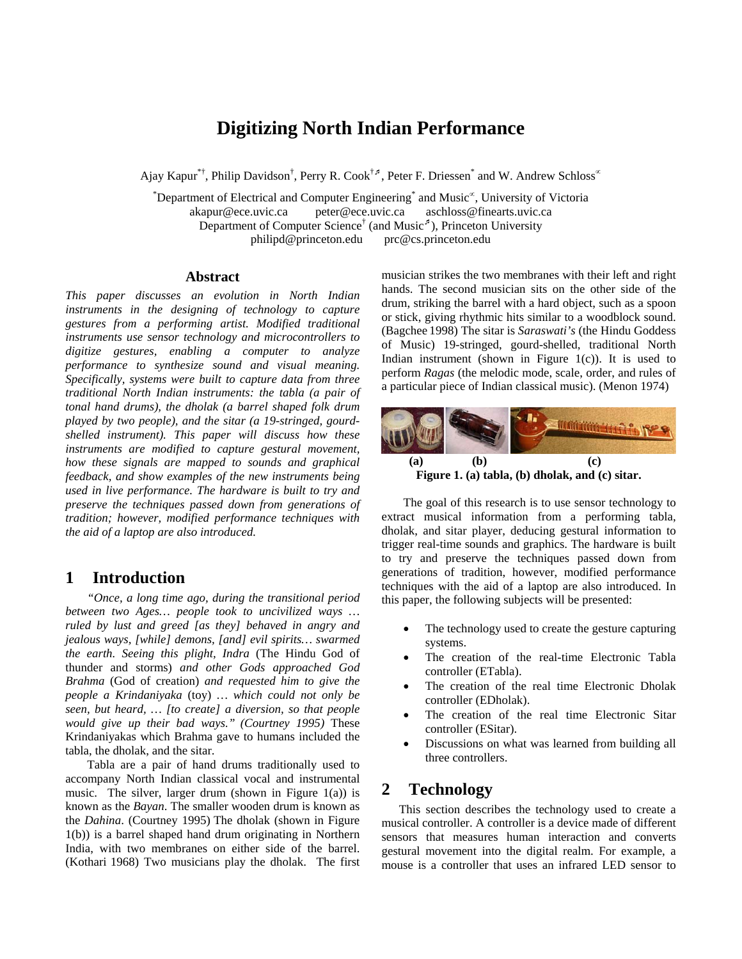# **Digitizing North Indian Performance**

Ajay Kapur<sup>\*†</sup>, Philip Davidson<sup>†</sup>, Perry R. Cook<sup>†⊅</sup>, Peter F. Driessen<sup>\*</sup> and W. Andrew Schloss<sup>∝</sup>

\* Department of Electrical and Computer Engineering\* and Music <sup>∝</sup>, University of Victoria akapur@ece.uvic.ca peter@ece.uvic.ca aschloss@finearts.uvic.ca Department of Computer Science<sup>†</sup> (and Music<sup> $\beta$ </sup>), Princeton University philipd@princeton.edu prc@cs.princeton.edu

#### **Abstract**

*This paper discusses an evolution in North Indian instruments in the designing of technology to capture gestures from a performing artist. Modified traditional instruments use sensor technology and microcontrollers to digitize gestures, enabling a computer to analyze performance to synthesize sound and visual meaning. Specifically, systems were built to capture data from three traditional North Indian instruments: the tabla (a pair of tonal hand drums), the dholak (a barrel shaped folk drum played by two people), and the sitar (a 19-stringed, gourdshelled instrument). This paper will discuss how these instruments are modified to capture gestural movement, how these signals are mapped to sounds and graphical feedback, and show examples of the new instruments being used in live performance. The hardware is built to try and preserve the techniques passed down from generations of tradition; however, modified performance techniques with the aid of a laptop are also introduced.* 

### **1 Introduction**

*"Once, a long time ago, during the transitional period between two Ages… people took to uncivilized ways … ruled by lust and greed [as they] behaved in angry and jealous ways, [while] demons, [and] evil spirits… swarmed the earth. Seeing this plight, Indra* (The Hindu God of thunder and storms) *and other Gods approached God Brahma* (God of creation) *and requested him to give the people a Krindaniyaka* (toy) *… which could not only be seen, but heard, … [to create] a diversion, so that people would give up their bad ways." (Courtney 1995)* These Krindaniyakas which Brahma gave to humans included the tabla, the dholak, and the sitar.

Tabla are a pair of hand drums traditionally used to accompany North Indian classical vocal and instrumental music. The silver, larger drum (shown in Figure  $1(a)$ ) is known as the *Bayan*. The smaller wooden drum is known as the *Dahina*. (Courtney 1995) The dholak (shown in Figure 1(b)) is a barrel shaped hand drum originating in Northern India, with two membranes on either side of the barrel. (Kothari 1968) Two musicians play the dholak. The first musician strikes the two membranes with their left and right hands. The second musician sits on the other side of the drum, striking the barrel with a hard object, such as a spoon or stick, giving rhythmic hits similar to a woodblock sound. (Bagchee 1998) The sitar is *Saraswati's* (the Hindu Goddess of Music) 19-stringed, gourd-shelled, traditional North Indian instrument (shown in Figure  $1(c)$ ). It is used to perform *Ragas* (the melodic mode, scale, order, and rules of a particular piece of Indian classical music). (Menon 1974)



The goal of this research is to use sensor technology to extract musical information from a performing tabla, dholak, and sitar player, deducing gestural information to

trigger real-time sounds and graphics. The hardware is built to try and preserve the techniques passed down from generations of tradition, however, modified performance techniques with the aid of a laptop are also introduced. In this paper, the following subjects will be presented:

- The technology used to create the gesture capturing systems.
- The creation of the real-time Electronic Tabla controller (ETabla).
- The creation of the real time Electronic Dholak controller (EDholak).
- The creation of the real time Electronic Sitar controller (ESitar).
- Discussions on what was learned from building all three controllers.

# **2 Technology**

This section describes the technology used to create a musical controller. A controller is a device made of different sensors that measures human interaction and converts gestural movement into the digital realm. For example, a mouse is a controller that uses an infrared LED sensor to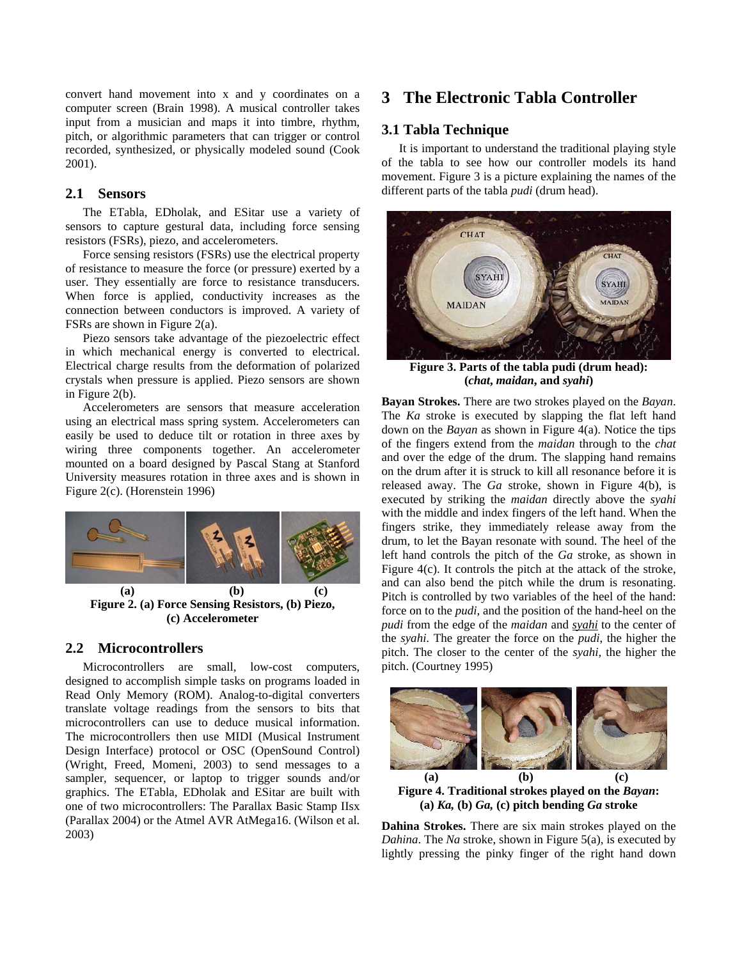convert hand movement into x and y coordinates on a computer screen (Brain 1998). A musical controller takes input from a musician and maps it into timbre, rhythm, pitch, or algorithmic parameters that can trigger or control recorded, synthesized, or physically modeled sound (Cook 2001).

#### **2.1 Sensors**

The ETabla, EDholak, and ESitar use a variety of sensors to capture gestural data, including force sensing resistors (FSRs), piezo, and accelerometers.

Force sensing resistors (FSRs) use the electrical property of resistance to measure the force (or pressure) exerted by a user. They essentially are force to resistance transducers. When force is applied, conductivity increases as the connection between conductors is improved. A variety of FSRs are shown in Figure 2(a).

Piezo sensors take advantage of the piezoelectric effect in which mechanical energy is converted to electrical. Electrical charge results from the deformation of polarized crystals when pressure is applied. Piezo sensors are shown in Figure 2(b).

Accelerometers are sensors that measure acceleration using an electrical mass spring system. Accelerometers can easily be used to deduce tilt or rotation in three axes by wiring three components together. An accelerometer mounted on a board designed by Pascal Stang at Stanford University measures rotation in three axes and is shown in Figure 2(c). (Horenstein 1996)



**Figure 2. (a) Force Sensing Resistors, (b) Piezo, (c) Accelerometer** 

### **2.2 Microcontrollers**

Microcontrollers are small, low-cost computers, designed to accomplish simple tasks on programs loaded in Read Only Memory (ROM). Analog-to-digital converters translate voltage readings from the sensors to bits that microcontrollers can use to deduce musical information. The microcontrollers then use MIDI (Musical Instrument Design Interface) protocol or OSC (OpenSound Control) (Wright, Freed, Momeni, 2003) to send messages to a sampler, sequencer, or laptop to trigger sounds and/or graphics. The ETabla, EDholak and ESitar are built with one of two microcontrollers: The Parallax Basic Stamp IIsx (Parallax 2004) or the Atmel AVR AtMega16. (Wilson et al. 2003)

# **3 The Electronic Tabla Controller**

#### **3.1 Tabla Technique**

It is important to understand the traditional playing style of the tabla to see how our controller models its hand movement. Figure 3 is a picture explaining the names of the different parts of the tabla *pudi* (drum head).



**Figure 3. Parts of the tabla pudi (drum head): (***chat***,** *maidan***, and** *syahi***)** 

**Bayan Strokes.** There are two strokes played on the *Bayan*. The *Ka* stroke is executed by slapping the flat left hand down on the *Bayan* as shown in Figure 4(a). Notice the tips of the fingers extend from the *maidan* through to the *chat* and over the edge of the drum. The slapping hand remains on the drum after it is struck to kill all resonance before it is released away. The *Ga* stroke, shown in Figure 4(b), is executed by striking the *maidan* directly above the *syahi* with the middle and index fingers of the left hand. When the fingers strike, they immediately release away from the drum, to let the Bayan resonate with sound. The heel of the left hand controls the pitch of the *Ga* stroke, as shown in Figure 4(c). It controls the pitch at the attack of the stroke, and can also bend the pitch while the drum is resonating. Pitch is controlled by two variables of the heel of the hand: force on to the *pudi*, and the position of the hand-heel on the *pudi* from the edge of the *maidan* and *syahi* to the center of the *syahi*. The greater the force on the *pudi*, the higher the pitch. The closer to the center of the *syahi,* the higher the pitch. (Courtney 1995)



**Figure 4. Traditional strokes played on the** *Bayan***: (a)** *Ka,* **(b)** *Ga,* **(c) pitch bending** *Ga* **stroke** 

**Dahina Strokes.** There are six main strokes played on the *Dahina*. The *Na* stroke, shown in Figure 5(a), is executed by lightly pressing the pinky finger of the right hand down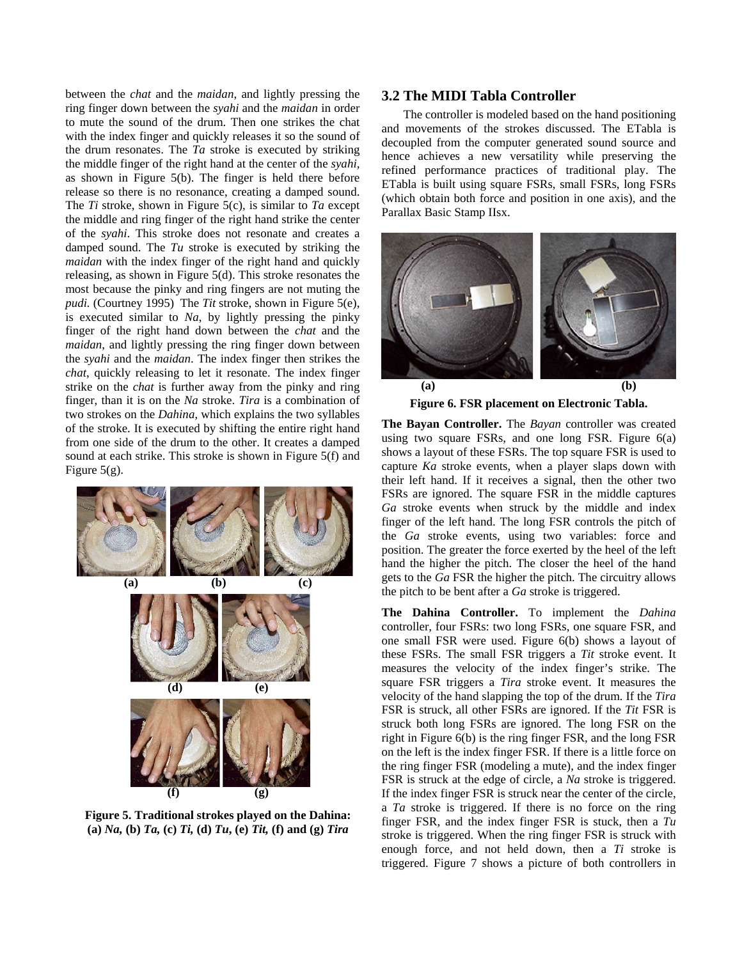between the *chat* and the *maidan*, and lightly pressing the ring finger down between the *syahi* and the *maidan* in order to mute the sound of the drum. Then one strikes the chat with the index finger and quickly releases it so the sound of the drum resonates. The *Ta* stroke is executed by striking the middle finger of the right hand at the center of the *syahi,*  as shown in Figure 5(b). The finger is held there before release so there is no resonance, creating a damped sound. The *Ti* stroke, shown in Figure 5(c), is similar to *Ta* except the middle and ring finger of the right hand strike the center of the *syahi*. This stroke does not resonate and creates a damped sound. The *Tu* stroke is executed by striking the *maidan* with the index finger of the right hand and quickly releasing, as shown in Figure 5(d). This stroke resonates the most because the pinky and ring fingers are not muting the *pudi.* (Courtney 1995) The *Tit* stroke, shown in Figure 5(e), is executed similar to *Na*, by lightly pressing the pinky finger of the right hand down between the *chat* and the *maidan*, and lightly pressing the ring finger down between the *syahi* and the *maidan*. The index finger then strikes the *chat*, quickly releasing to let it resonate. The index finger strike on the *chat* is further away from the pinky and ring finger, than it is on the *Na* stroke. *Tira* is a combination of two strokes on the *Dahina*, which explains the two syllables of the stroke. It is executed by shifting the entire right hand from one side of the drum to the other. It creates a damped sound at each strike. This stroke is shown in Figure 5(f) and Figure  $5(g)$ .



**Figure 5. Traditional strokes played on the Dahina: (a)** *Na,* **(b)** *Ta,* **(c)** *Ti,* **(d)** *Tu***, (e)** *Tit,* **(f) and (g)** *Tira*

#### **3.2 The MIDI Tabla Controller**

The controller is modeled based on the hand positioning and movements of the strokes discussed. The ETabla is decoupled from the computer generated sound source and hence achieves a new versatility while preserving the refined performance practices of traditional play. The ETabla is built using square FSRs, small FSRs, long FSRs (which obtain both force and position in one axis), and the Parallax Basic Stamp IIsx.



**Figure 6. FSR placement on Electronic Tabla.**

**The Bayan Controller.** The *Bayan* controller was created using two square FSRs, and one long FSR. Figure  $6(a)$ shows a layout of these FSRs. The top square FSR is used to capture *Ka* stroke events, when a player slaps down with their left hand. If it receives a signal, then the other two FSRs are ignored. The square FSR in the middle captures *Ga* stroke events when struck by the middle and index finger of the left hand. The long FSR controls the pitch of the *Ga* stroke events, using two variables: force and position. The greater the force exerted by the heel of the left hand the higher the pitch. The closer the heel of the hand gets to the *Ga* FSR the higher the pitch. The circuitry allows (a) (b) (c) gets to the Ga FSK the higher the pitch. The circle the pitch to be bent after a *Ga* stroke is triggered.

> **The Dahina Controller.** To implement the *Dahina* controller, four FSRs: two long FSRs, one square FSR, and one small FSR were used. Figure 6(b) shows a layout of these FSRs. The small FSR triggers a *Tit* stroke event. It measures the velocity of the index finger's strike. The square FSR triggers a *Tira* stroke event. It measures the velocity of the hand slapping the top of the drum. If the *Tira* FSR is struck, all other FSRs are ignored. If the *Tit* FSR is struck both long FSRs are ignored. The long FSR on the right in Figure 6(b) is the ring finger FSR, and the long FSR on the left is the index finger FSR. If there is a little force on the ring finger FSR (modeling a mute), and the index finger FSR is struck at the edge of circle, a *Na* stroke is triggered. If the index finger FSR is struck near the center of the circle, a *Ta* stroke is triggered. If there is no force on the ring finger FSR, and the index finger FSR is stuck, then a *Tu* stroke is triggered. When the ring finger FSR is struck with enough force, and not held down, then a *Ti* stroke is triggered. Figure 7 shows a picture of both controllers in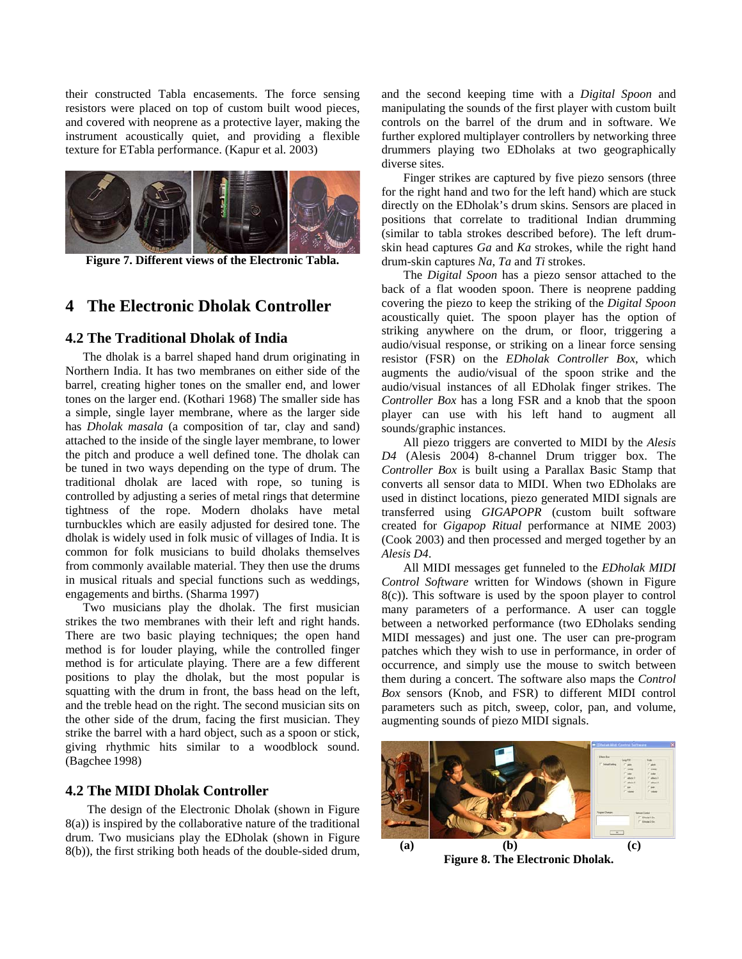their constructed Tabla encasements. The force sensing resistors were placed on top of custom built wood pieces, and covered with neoprene as a protective layer, making the instrument acoustically quiet, and providing a flexible texture for ETabla performance. (Kapur et al. 2003)



**Figure 7. Different views of the Electronic Tabla.** 

# **4 The Electronic Dholak Controller**

### **4.2 The Traditional Dholak of India**

The dholak is a barrel shaped hand drum originating in Northern India. It has two membranes on either side of the barrel, creating higher tones on the smaller end, and lower tones on the larger end. (Kothari 1968) The smaller side has a simple, single layer membrane, where as the larger side has *Dholak masala* (a composition of tar, clay and sand) attached to the inside of the single layer membrane, to lower the pitch and produce a well defined tone. The dholak can be tuned in two ways depending on the type of drum. The traditional dholak are laced with rope, so tuning is controlled by adjusting a series of metal rings that determine tightness of the rope. Modern dholaks have metal turnbuckles which are easily adjusted for desired tone. The dholak is widely used in folk music of villages of India. It is common for folk musicians to build dholaks themselves from commonly available material. They then use the drums in musical rituals and special functions such as weddings, engagements and births. (Sharma 1997)

Two musicians play the dholak. The first musician strikes the two membranes with their left and right hands. There are two basic playing techniques; the open hand method is for louder playing, while the controlled finger method is for articulate playing. There are a few different positions to play the dholak, but the most popular is squatting with the drum in front, the bass head on the left, and the treble head on the right. The second musician sits on the other side of the drum, facing the first musician. They strike the barrel with a hard object, such as a spoon or stick, giving rhythmic hits similar to a woodblock sound. (Bagchee 1998)

#### **4.2 The MIDI Dholak Controller**

The design of the Electronic Dholak (shown in Figure 8(a)) is inspired by the collaborative nature of the traditional drum. Two musicians play the EDholak (shown in Figure 8(b)), the first striking both heads of the double-sided drum, and the second keeping time with a *Digital Spoon* and manipulating the sounds of the first player with custom built controls on the barrel of the drum and in software. We further explored multiplayer controllers by networking three drummers playing two EDholaks at two geographically diverse sites.

Finger strikes are captured by five piezo sensors (three for the right hand and two for the left hand) which are stuck directly on the EDholak's drum skins. Sensors are placed in positions that correlate to traditional Indian drumming (similar to tabla strokes described before). The left drumskin head captures *Ga* and *Ka* strokes, while the right hand drum-skin captures *Na*, *Ta* and *Ti* strokes.

The *Digital Spoon* has a piezo sensor attached to the back of a flat wooden spoon. There is neoprene padding covering the piezo to keep the striking of the *Digital Spoon* acoustically quiet. The spoon player has the option of striking anywhere on the drum, or floor, triggering a audio/visual response, or striking on a linear force sensing resistor (FSR) on the *EDholak Controller Box*, which augments the audio/visual of the spoon strike and the audio/visual instances of all EDholak finger strikes. The *Controller Box* has a long FSR and a knob that the spoon player can use with his left hand to augment all sounds/graphic instances.

All piezo triggers are converted to MIDI by the *Alesis D4* (Alesis 2004) 8-channel Drum trigger box. The *Controller Box* is built using a Parallax Basic Stamp that converts all sensor data to MIDI. When two EDholaks are used in distinct locations, piezo generated MIDI signals are transferred using *GIGAPOPR* (custom built software created for *Gigapop Ritual* performance at NIME 2003) (Cook 2003) and then processed and merged together by an *Alesis D4*.

All MIDI messages get funneled to the *EDholak MIDI Control Software* written for Windows (shown in Figure 8(c)). This software is used by the spoon player to control many parameters of a performance. A user can toggle between a networked performance (two EDholaks sending MIDI messages) and just one. The user can pre-program patches which they wish to use in performance, in order of occurrence, and simply use the mouse to switch between them during a concert. The software also maps the *Control Box* sensors (Knob, and FSR) to different MIDI control parameters such as pitch, sweep, color, pan, and volume, augmenting sounds of piezo MIDI signals.



**Figure 8. The Electronic Dholak.**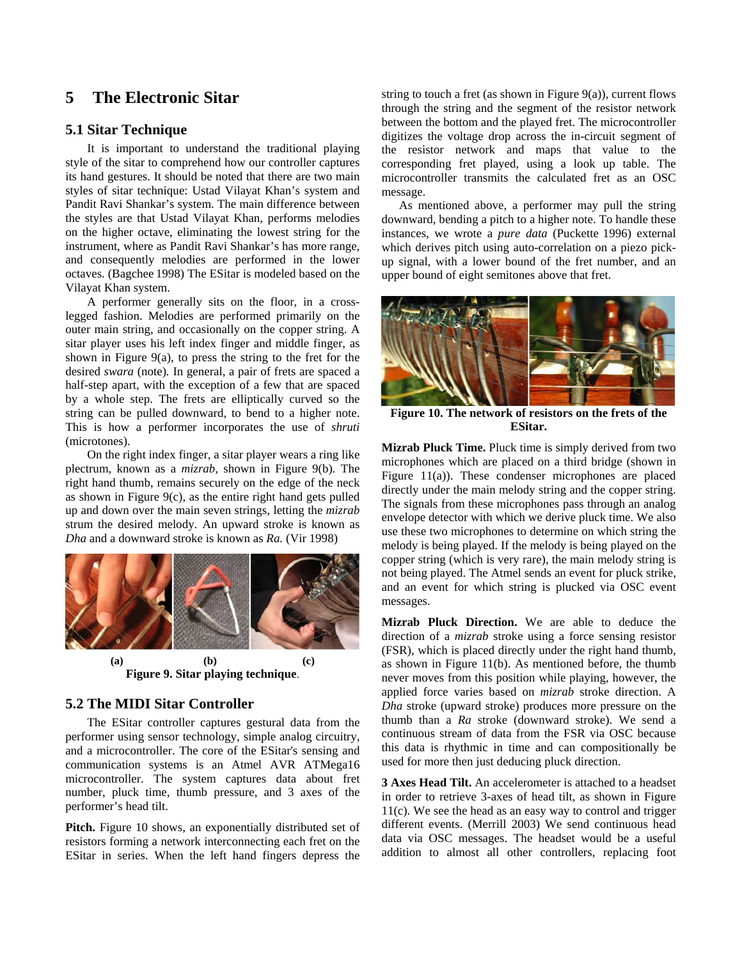# **5 The Electronic Sitar**

#### **5.1 Sitar Technique**

It is important to understand the traditional playing style of the sitar to comprehend how our controller captures its hand gestures. It should be noted that there are two main styles of sitar technique: Ustad Vilayat Khan's system and Pandit Ravi Shankar's system. The main difference between the styles are that Ustad Vilayat Khan, performs melodies on the higher octave, eliminating the lowest string for the instrument, where as Pandit Ravi Shankar's has more range, and consequently melodies are performed in the lower octaves. (Bagchee 1998) The ESitar is modeled based on the Vilayat Khan system.

A performer generally sits on the floor, in a crosslegged fashion. Melodies are performed primarily on the outer main string, and occasionally on the copper string. A sitar player uses his left index finger and middle finger, as shown in Figure 9(a), to press the string to the fret for the desired *swara* (note)*.* In general, a pair of frets are spaced a half-step apart, with the exception of a few that are spaced by a whole step. The frets are elliptically curved so the string can be pulled downward, to bend to a higher note. This is how a performer incorporates the use of *shruti*  (microtones).

On the right index finger, a sitar player wears a ring like plectrum, known as a *mizrab,* shown in Figure 9(b)*.* The right hand thumb, remains securely on the edge of the neck as shown in Figure 9(c), as the entire right hand gets pulled up and down over the main seven strings, letting the *mizrab*  strum the desired melody. An upward stroke is known as *Dha* and a downward stroke is known as *Ra.* (Vir 1998)



**(a) (b) (c) Figure 9. Sitar playing technique**.

#### **5.2 The MIDI Sitar Controller**

The ESitar controller captures gestural data from the performer using sensor technology, simple analog circuitry, and a microcontroller. The core of the ESitar's sensing and communication systems is an Atmel AVR ATMega16 microcontroller. The system captures data about fret number, pluck time, thumb pressure, and 3 axes of the performer's head tilt.

**Pitch.** Figure 10 shows, an exponentially distributed set of resistors forming a network interconnecting each fret on the ESitar in series. When the left hand fingers depress the string to touch a fret (as shown in Figure 9(a)), current flows through the string and the segment of the resistor network between the bottom and the played fret. The microcontroller digitizes the voltage drop across the in-circuit segment of the resistor network and maps that value to the corresponding fret played, using a look up table. The microcontroller transmits the calculated fret as an OSC message.

As mentioned above, a performer may pull the string downward, bending a pitch to a higher note. To handle these instances, we wrote a *pure data* (Puckette 1996) external which derives pitch using auto-correlation on a piezo pickup signal, with a lower bound of the fret number, and an upper bound of eight semitones above that fret.



**Figure 10. The network of resistors on the frets of the ESitar.** 

**Mizrab Pluck Time.** Pluck time is simply derived from two microphones which are placed on a third bridge (shown in Figure 11(a)). These condenser microphones are placed directly under the main melody string and the copper string. The signals from these microphones pass through an analog envelope detector with which we derive pluck time. We also use these two microphones to determine on which string the melody is being played. If the melody is being played on the copper string (which is very rare), the main melody string is not being played. The Atmel sends an event for pluck strike, and an event for which string is plucked via OSC event messages.

**Mizrab Pluck Direction.** We are able to deduce the direction of a *mizrab* stroke using a force sensing resistor (FSR), which is placed directly under the right hand thumb, as shown in Figure 11(b). As mentioned before, the thumb never moves from this position while playing, however, the applied force varies based on *mizrab* stroke direction. A *Dha* stroke (upward stroke) produces more pressure on the thumb than a *Ra* stroke (downward stroke). We send a continuous stream of data from the FSR via OSC because this data is rhythmic in time and can compositionally be used for more then just deducing pluck direction.

**3 Axes Head Tilt.** An accelerometer is attached to a headset in order to retrieve 3-axes of head tilt, as shown in Figure 11(c). We see the head as an easy way to control and trigger different events. (Merrill 2003) We send continuous head data via OSC messages. The headset would be a useful addition to almost all other controllers, replacing foot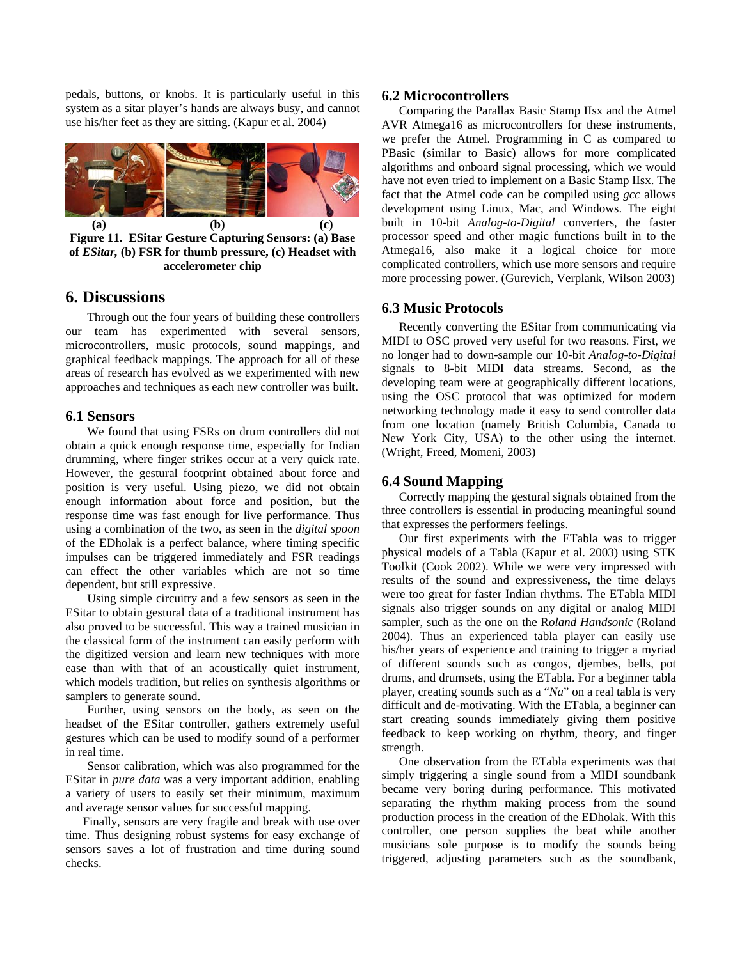pedals, buttons, or knobs. It is particularly useful in this system as a sitar player's hands are always busy, and cannot use his/her feet as they are sitting. (Kapur et al. 2004)



**Figure 11. ESitar Gesture Capturing Sensors: (a) Base of** *ESitar,* **(b) FSR for thumb pressure, (c) Headset with accelerometer chip**

### **6. Discussions**

Through out the four years of building these controllers our team has experimented with several sensors, microcontrollers, music protocols, sound mappings, and graphical feedback mappings. The approach for all of these areas of research has evolved as we experimented with new approaches and techniques as each new controller was built.

#### **6.1 Sensors**

We found that using FSRs on drum controllers did not obtain a quick enough response time, especially for Indian drumming, where finger strikes occur at a very quick rate. However, the gestural footprint obtained about force and position is very useful. Using piezo, we did not obtain enough information about force and position, but the response time was fast enough for live performance. Thus using a combination of the two, as seen in the *digital spoon* of the EDholak is a perfect balance, where timing specific impulses can be triggered immediately and FSR readings can effect the other variables which are not so time dependent, but still expressive.

Using simple circuitry and a few sensors as seen in the ESitar to obtain gestural data of a traditional instrument has also proved to be successful. This way a trained musician in the classical form of the instrument can easily perform with the digitized version and learn new techniques with more ease than with that of an acoustically quiet instrument, which models tradition, but relies on synthesis algorithms or samplers to generate sound.

Further, using sensors on the body, as seen on the headset of the ESitar controller, gathers extremely useful gestures which can be used to modify sound of a performer in real time.

Sensor calibration, which was also programmed for the ESitar in *pure data* was a very important addition, enabling a variety of users to easily set their minimum, maximum and average sensor values for successful mapping.

Finally, sensors are very fragile and break with use over time. Thus designing robust systems for easy exchange of sensors saves a lot of frustration and time during sound checks.

#### **6.2 Microcontrollers**

Comparing the Parallax Basic Stamp IIsx and the Atmel AVR Atmega16 as microcontrollers for these instruments, we prefer the Atmel. Programming in C as compared to PBasic (similar to Basic) allows for more complicated algorithms and onboard signal processing, which we would have not even tried to implement on a Basic Stamp IIsx. The fact that the Atmel code can be compiled using *gcc* allows development using Linux, Mac, and Windows. The eight built in 10-bit *Analog-to-Digital* converters, the faster processor speed and other magic functions built in to the Atmega16, also make it a logical choice for more complicated controllers, which use more sensors and require more processing power. (Gurevich, Verplank, Wilson 2003)

#### **6.3 Music Protocols**

Recently converting the ESitar from communicating via MIDI to OSC proved very useful for two reasons. First, we no longer had to down-sample our 10-bit *Analog-to-Digital* signals to 8-bit MIDI data streams. Second, as the developing team were at geographically different locations, using the OSC protocol that was optimized for modern networking technology made it easy to send controller data from one location (namely British Columbia, Canada to New York City, USA) to the other using the internet. (Wright, Freed, Momeni, 2003)

#### **6.4 Sound Mapping**

Correctly mapping the gestural signals obtained from the three controllers is essential in producing meaningful sound that expresses the performers feelings.

Our first experiments with the ETabla was to trigger physical models of a Tabla (Kapur et al. 2003) using STK Toolkit (Cook 2002). While we were very impressed with results of the sound and expressiveness, the time delays were too great for faster Indian rhythms. The ETabla MIDI signals also trigger sounds on any digital or analog MIDI sampler, such as the one on the R*oland Handsonic* (Roland 2004)*.* Thus an experienced tabla player can easily use his/her years of experience and training to trigger a myriad of different sounds such as congos, djembes, bells, pot drums, and drumsets, using the ETabla. For a beginner tabla player, creating sounds such as a "*Na*" on a real tabla is very difficult and de-motivating. With the ETabla, a beginner can start creating sounds immediately giving them positive feedback to keep working on rhythm, theory, and finger strength.

One observation from the ETabla experiments was that simply triggering a single sound from a MIDI soundbank became very boring during performance. This motivated separating the rhythm making process from the sound production process in the creation of the EDholak. With this controller, one person supplies the beat while another musicians sole purpose is to modify the sounds being triggered, adjusting parameters such as the soundbank,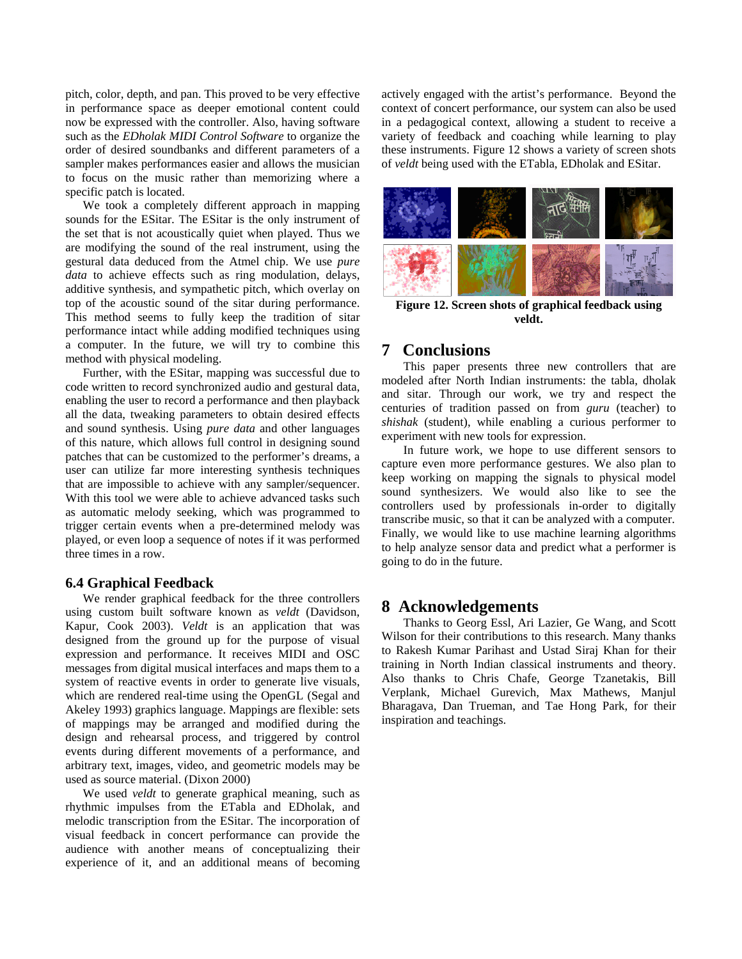pitch, color, depth, and pan. This proved to be very effective in performance space as deeper emotional content could now be expressed with the controller. Also, having software such as the *EDholak MIDI Control Software* to organize the order of desired soundbanks and different parameters of a sampler makes performances easier and allows the musician to focus on the music rather than memorizing where a specific patch is located.

We took a completely different approach in mapping sounds for the ESitar. The ESitar is the only instrument of the set that is not acoustically quiet when played. Thus we are modifying the sound of the real instrument, using the gestural data deduced from the Atmel chip. We use *pure data* to achieve effects such as ring modulation, delays, additive synthesis, and sympathetic pitch, which overlay on top of the acoustic sound of the sitar during performance. This method seems to fully keep the tradition of sitar performance intact while adding modified techniques using a computer. In the future, we will try to combine this method with physical modeling.

Further, with the ESitar, mapping was successful due to code written to record synchronized audio and gestural data, enabling the user to record a performance and then playback all the data, tweaking parameters to obtain desired effects and sound synthesis. Using *pure data* and other languages of this nature, which allows full control in designing sound patches that can be customized to the performer's dreams, a user can utilize far more interesting synthesis techniques that are impossible to achieve with any sampler/sequencer. With this tool we were able to achieve advanced tasks such as automatic melody seeking, which was programmed to trigger certain events when a pre-determined melody was played, or even loop a sequence of notes if it was performed three times in a row.

#### **6.4 Graphical Feedback**

We render graphical feedback for the three controllers using custom built software known as *veldt* (Davidson, Kapur, Cook 2003). *Veldt* is an application that was designed from the ground up for the purpose of visual expression and performance. It receives MIDI and OSC messages from digital musical interfaces and maps them to a system of reactive events in order to generate live visuals, which are rendered real-time using the OpenGL (Segal and Akeley 1993) graphics language. Mappings are flexible: sets of mappings may be arranged and modified during the design and rehearsal process, and triggered by control events during different movements of a performance, and arbitrary text, images, video, and geometric models may be used as source material. (Dixon 2000)

We used *veldt* to generate graphical meaning, such as rhythmic impulses from the ETabla and EDholak, and melodic transcription from the ESitar. The incorporation of visual feedback in concert performance can provide the audience with another means of conceptualizing their experience of it, and an additional means of becoming

actively engaged with the artist's performance. Beyond the context of concert performance, our system can also be used in a pedagogical context, allowing a student to receive a variety of feedback and coaching while learning to play these instruments. Figure 12 shows a variety of screen shots of *veldt* being used with the ETabla, EDholak and ESitar.



**Figure 12. Screen shots of graphical feedback using veldt.** 

### **7 Conclusions**

This paper presents three new controllers that are modeled after North Indian instruments: the tabla, dholak and sitar. Through our work, we try and respect the centuries of tradition passed on from *guru* (teacher) to *shishak* (student), while enabling a curious performer to experiment with new tools for expression.

In future work, we hope to use different sensors to capture even more performance gestures. We also plan to keep working on mapping the signals to physical model sound synthesizers. We would also like to see the controllers used by professionals in-order to digitally transcribe music, so that it can be analyzed with a computer. Finally, we would like to use machine learning algorithms to help analyze sensor data and predict what a performer is going to do in the future.

## **8 Acknowledgements**

Thanks to Georg Essl, Ari Lazier, Ge Wang, and Scott Wilson for their contributions to this research. Many thanks to Rakesh Kumar Parihast and Ustad Siraj Khan for their training in North Indian classical instruments and theory. Also thanks to Chris Chafe, George Tzanetakis, Bill Verplank, Michael Gurevich, Max Mathews, Manjul Bharagava, Dan Trueman, and Tae Hong Park, for their inspiration and teachings.